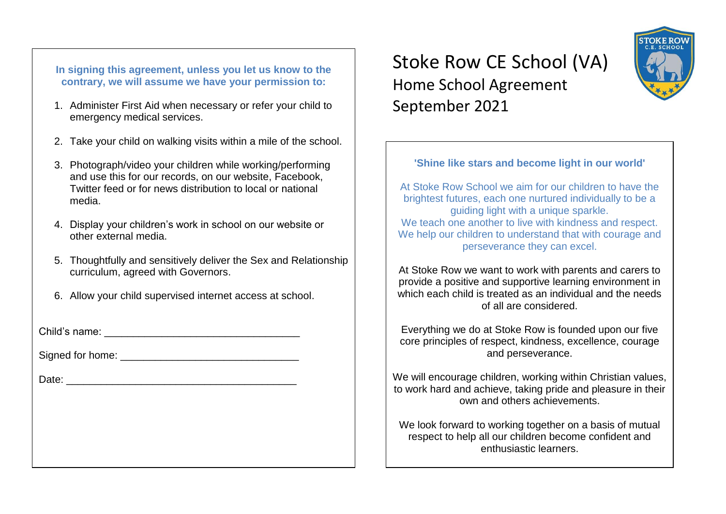**In signing this agreement, unless you let us know to the contrary, we will assume we have your permission to:**

- 1. Administer First Aid when necessary or refer your child to emergency medical services.
- 2. Take your child on walking visits within a mile of the school.
- 3. Photograph/video your children while working/performing and use this for our records, on our website, Facebook, Twitter feed or for news distribution to local or national media.
- 4. Display your children's work in school on our website or other external media.
- 5. Thoughtfully and sensitively deliver the Sex and Relationship curriculum, agreed with Governors.
- 6. Allow your child supervised internet access at school.

Child's name: **Example 20** 

Signed for home:  $\Box$ 

Date:  $\Box$ 

# Stoke Row CE School (VA) Home School Agreement September 2021

# **'Shine like stars and become light in our world'**

At Stoke Row School we aim for our children to have the brightest futures, each one nurtured individually to be a guiding light with a unique sparkle. We teach one another to live with kindness and respect. We help our children to understand that with courage and perseverance they can excel.

At Stoke Row we want to work with parents and carers to provide a positive and supportive learning environment in which each child is treated as an individual and the needs of all are considered.

Everything we do at Stoke Row is founded upon our five core principles of respect, kindness, excellence, courage and perseverance.

We will encourage children, working within Christian values, to work hard and achieve, taking pride and pleasure in their own and others achievements.

We look forward to working together on a basis of mutual respect to help all our children become confident and enthusiastic learners.